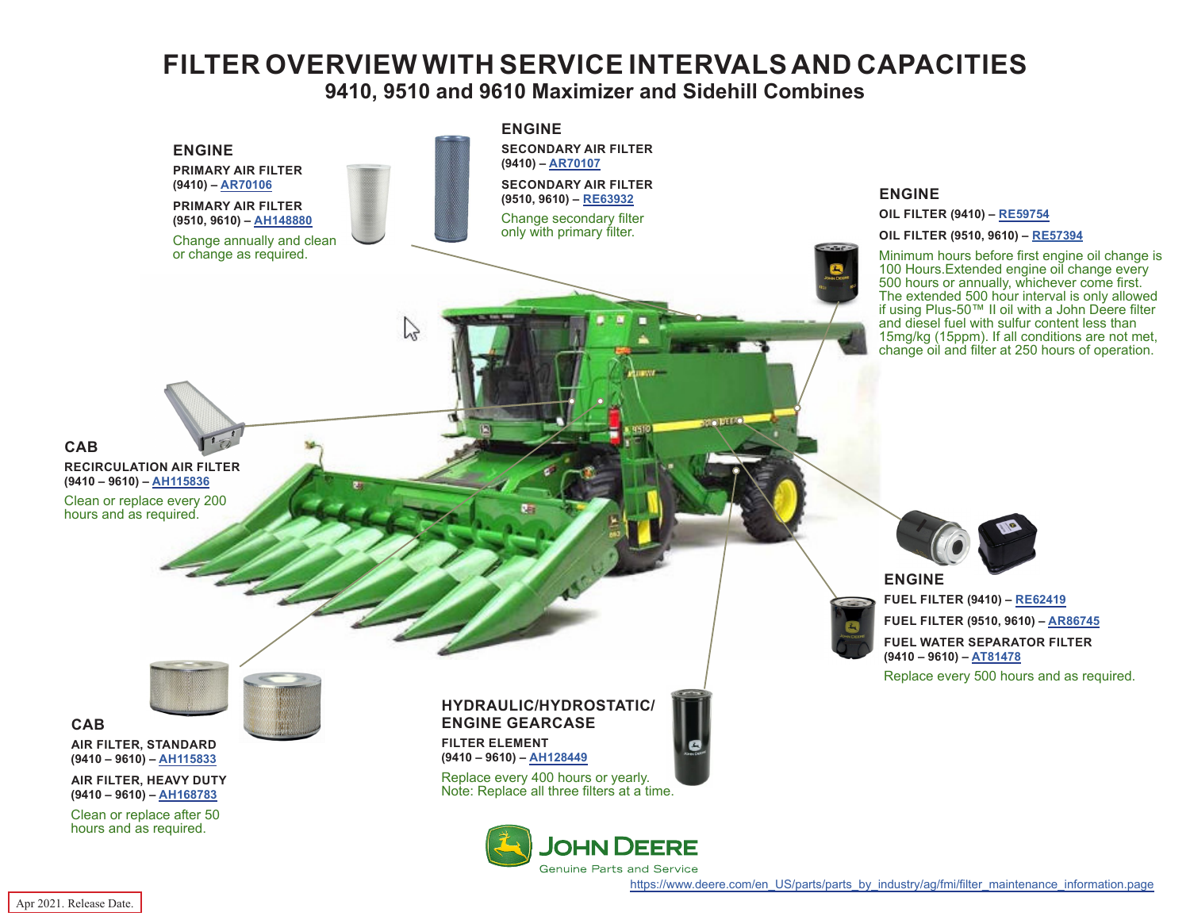## **FILTER OVERVIEW WITH SERVICE INTERVALS AND CAPACITIES**

## **9410, 9510 and 9610 Maximizer and Sidehill Combines**

<span id="page-0-0"></span>